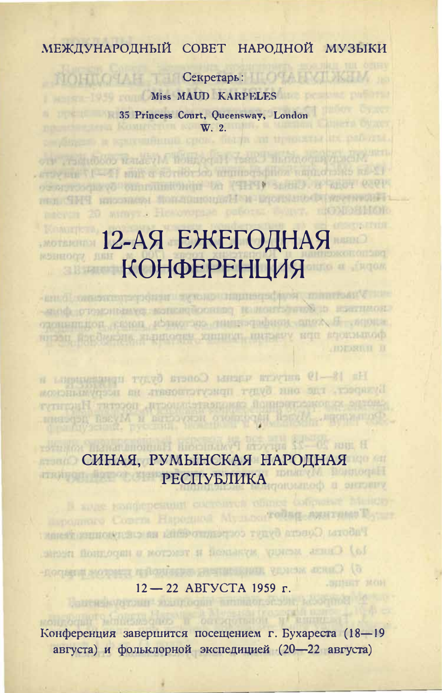## МЕЖДУНАРОДНЫЙ СОВЕТ НАРОДНОЙ МУЗЫКИ

TIOHTOHAN THE Cerperaps: HOME TATIKETA **EXAMPLE AND STARF SERVICE AND STARF SERVICE AND STARF SERVICE AND STARF SERVICE AND STARF SERVICE AND STARF SERVICE AND STARF SERVICE AND STARF SERVICE AND STARF SERVICE AND STARF SERVICE AND STARF SERVICE AND STARF SERVI** 35 Princess Court, Queensway, London W. 2. fillerin in themsear life

on riskubob water of homoe it feet; mathoeus macht (2-an encounter with opening for this is not that the core. osorosquevo omnumento va PTRTV senio refator esere под СМЧ кнозием фондинении и пользовой методий глесси 20 минет, Некоманда работа полит пирал

#### 12-АЯ ЕЖЕГОДНАЯ RUHHOOZ HE **КОНФЕРЕНЦИЯ SLB WALKER**

ни Унаститутунун баратын чурган теңесин теңесин болгон. -номитье и йоньствовательности в половиться в совета одопенной комон, иблиотерь нашегодовной анах. Я ... многивитами барбиясию, явликоски хипинут, интынгу или воокманоф

На 18-19 ангуста часны Совета будут приведения и Бударски, где они будут присутственским на иссомминова смотно малосительной самолетельности, посетит Институт поставляет Москваторого менения и Музей использования

#### B mm 20 -22 aprovided Problems Hauptenburg and Granter СИНАЯ, РУМЫНСКАЯ НАРОДНАЯ nang M Bonnegali **TIRATION РЕСПУБЛИКА** vultone il diottattone

персонные Совета Народной Мульвентойни лунгими России

Глботы Совета будут согранических на следномических и о) Сига менов вызвления и текстом в пародной песне. б) Спись исторические движение теморов компонентально Sillear steel  $12 - 22$  ABTYCTA 1959 г. Latitus verbuit-southogun

Конференция завершится посещением г. Бухареста (18-19 августа) и фольклорной экспедицией (20-22 августа)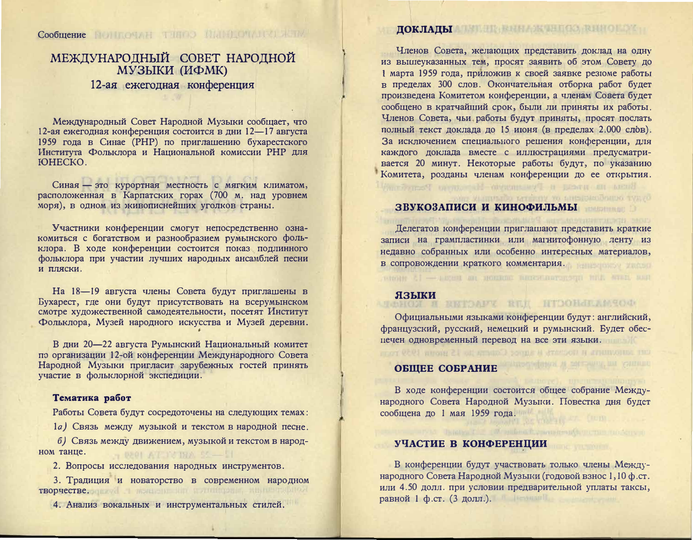# МЕЖДУНАРОДНЫЙ СОВЕТ НАРОДНОЙ МУЗЫКИ (ИФМК) 12-ая ежегодная конференция

Международный Совет Народной Музыки сообщает, что 12-ая ежегодная конференция состоится в дни 12-17 августа 1959 года в Синае (РНР) по приглашению бухарестского Института Фольклора и Национальной комиссии РНР для **FOHECKO** 

Синая - это курортная местность с мягким климатом, расположенная в Карпатских горах (700 м. над уровнем моря), в одном из живописнейших уголков страны.

Участники конференции смогут непосредственно ознакомиться с богатством и разнообразием румынского фольклора. В ходе конференции состоится показ подлинного фольклора при участии лучших народных ансамблей песни и пляски.

На 18-19 августа члены Совета будут приглашены в Бухарест, где они будут присутствовать на всерумынском смотре художественной самодеятельности, посетят Институт Фольклора, Музей народного искусства и Музей деревни.

В дни 20-22 августа Румынский Национальный комитет по организации 12-ой конференции Международного Совета Народной Музыки пригласит зарубежных гостей принять участие в фольклорной экспедиции.

#### Тематика работ

Работы Совета будут сосредоточены на следующих темах:

1а) Связь между музыкой и текстом в народной песне.

б) Связь между движением, музыкой и текстом в народном танце.  $\rightarrow$  0201 AT 17 INA 55 -- 11

2. Вопросы исследования народных инструментов.

3. Традиция и новаторство в современном народном TBODYCCTBC.ogmxvil morth and the contribution and the problem

4. Анализ вокальных и инструментальных стилей.

# ДОКЛАДЫ ПЕТЕНЕННАЯ ВИНОВОЛЬ

Членов Совета, желающих представить доклад на одну из вышеуказанных тем, просят заявить об этом Совету до 1 марта 1959 года, приложив к своей заявке резюме работы в пределах 300 слов. Окончательная отборка работ будет произведена Комитетом конференции, а членам Совета будет сообщено в кратчайший срок, были ли приняты их работы. Членов Совета, чьи работы будут приняты, просят послать полный текст доклада до 15 июня (в пределах 2.000 слов). За исключением специального решения конференции, для каждого доклада вместе с иллюстрациями предусматривается 20 минут. Некоторые работы будут, по указанию Комитета, розданы членам конференции до ее открытия. Busta in near a Tystansville Harassen Perry

#### ЗВУКОЗАПИСИ И КИНОФИЛЬМЫ

Делегатов конференции приглашают представить краткие записи на грампластинки или магнитофонную ленту из недавно собранных или особенно интересных материалов, в сопровождении краткого комментария.

#### языки BOST I ENTRAÎN NE REL HIDOHALAMSON

Официальными языками конференции будут: английский, французский, русский, немецкий и румынский. Будет обеспечен одновременный перевод на все эти языки.

сит данность и послоть в адрес Солета на 19 моня 1959 года

#### **ОБШЕЕ СОБРАНИЕ**

В ходе конференции состоится общее собрание Международного Совета Народной Музыки. Повестка дня будет сообщена до 1 мая 1959 года.

#### УЧАСТИЕ В КОНФЕРЕНЦИИ

В конференции будут участвовать только члены Международного Совета Народной Музыки (годовой взнос 1,10 ф.ст. или 4.50 долл. при условии предварительной уплаты таксы, равной 1 ф.ст. (3 долл.).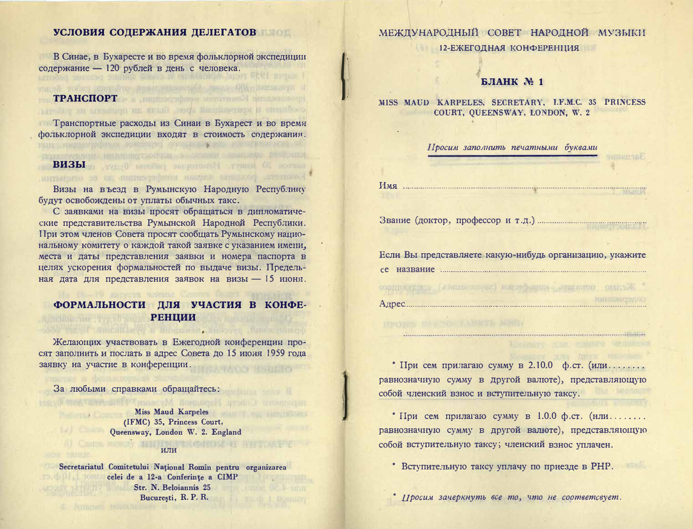#### УСЛОВИЯ СОДЕРЖАНИЯ ДЕЛЕГАТОВ

В Синае, в Бухаресте и во время фольклорной экспедиции содержание - 120 рублей в день с человека. o mume sociale chisoanum-lator PPU mume I

#### **TPAHCHOPT CONTRACTOR** Avenue il appendina dport premi upun ancora patenta di appendi

Пранспортные расходы из Синаи в Бухарест и во время фольклорной экспедиции входят в стоимость содержания. нии элекциотробном понезнает очеры широв машения всю, вк

терах последника, не высоководство (баководство со последниководство и при подата).

#### **BH3bI** in the second party of the second of the second of Notherwise, poultrains unequate somebre common too en origination.

Визы на въезд в Румынскую Народную Республику будут освобождены от уплаты обычных такс.

С заявками на визы просят обращаться в дипломатические представительства Румынской Народной Республики. При этом членов Совета просят сообщать Румынскому национальному комитету о каждой такой заявке с указанием имени, места и даты представления заявки и номера паспорта в целях ускорения формальностей по выдаче визы. Предельная дата для представления заявок на визы - 15 июня.

### ФОРМАЛЬНОСТИ ДЛЯ УЧАСТИЯ В КОНФЕ-РЕНЦИИ

Желающих участвовать в Ежегодной конференции просят заполнить и послать в адрес Совета до 15 июня 1959 года заявку на участие в конференции.

cons termin inscurrery in more contributed that control

За любыми справками обращайтесь:

Miss Maud Karpeles (IFMC) 35, Princess Court, Queensway, London W. 2. England 6) Castle Mondy MINITIONS Reported of HWY. W.P. TOWER

HAVE THE TERRITORY HARACITY (MARKET THE TERRITORY OR CHARGED)

#### или

Secretariatul Comitetului Național Romîn pentru organizarea celei de a 12-a Conferințe a CIMP **Excession Str. N. Beloiannis 25** București, R. P. R.

# МЕЖДУНАРОДНЫЙ СОВЕТ НАРОДНОЙ МУЗЫКИ

12-ЕЖЕГОДНАЯ КОНФЕРЕНЦИЯ

#### БЛАНК № 1

MISS MAUD KARPELES, SECRETARY, I.F.M.C. 35 PRINCESS COURT, QUEENSWAY, LONDON, W. 2

# Просим заполнить печатными буквами

Если Вы представляете какую-нибудь организацию, укажите 

озанности (азищетные) мастебания этапног описай 

\* При сем прилагаю сумму в 2.10.0 ф.ст. (или........ равнозначную сумму в другой валюте), представляющую собой членский взнос и вступительную таксу.

\* При сем прилагаю сумму в 1.0.0 ф.ст. (или........ равнозначную сумму в другой валюте), представляющую собой вступительную таксу; членский взнос уплачен.

**BEVILL** 

\* Вступительную таксу уплачу по приезде в РНР.

\* Просим зачеркнуть все то, что не соответсвует.